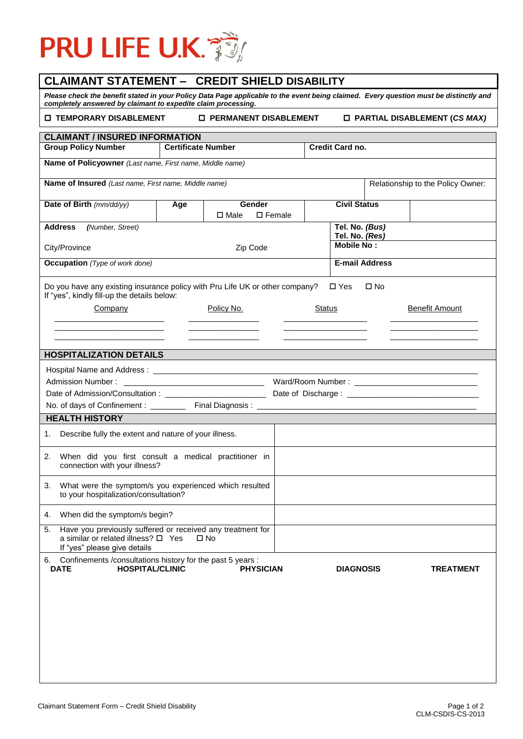

## **CLAIMANT STATEMENT – CREDIT SHIELD DISABILITY**

*Please check the benefit stated in your Policy Data Page applicable to the event being claimed. Every question must be distinctly and completely answered by claimant to expedite claim processing.*

 **TEMPORARY DISABLEMENT PERMANENT DISABLEMENT PARTIAL DISABLEMENT (***CS MAX)*

| <b>CLAIMANT / INSURED INFORMATION</b>                                                                                                                        |     |                           |                   |               |                                  |  |                                   |  |
|--------------------------------------------------------------------------------------------------------------------------------------------------------------|-----|---------------------------|-------------------|---------------|----------------------------------|--|-----------------------------------|--|
| <b>Group Policy Number</b>                                                                                                                                   |     | <b>Certificate Number</b> |                   |               | Credit Card no.                  |  |                                   |  |
| Name of Policyowner (Last name, First name, Middle name)                                                                                                     |     |                           |                   |               |                                  |  |                                   |  |
| Name of Insured (Last name, First name, Middle name)                                                                                                         |     |                           |                   |               |                                  |  | Relationship to the Policy Owner: |  |
| Date of Birth (mm/dd/yy)                                                                                                                                     | Age | Gender                    |                   |               | <b>Civil Status</b>              |  |                                   |  |
|                                                                                                                                                              |     | $\square$ Male            | $\square$ Female  |               |                                  |  |                                   |  |
| <b>Address</b><br>(Number, Street)                                                                                                                           |     |                           |                   |               | Tel. No. (Bus)<br>Tel. No. (Res) |  |                                   |  |
| City/Province                                                                                                                                                |     | Zip Code                  | <b>Mobile No:</b> |               |                                  |  |                                   |  |
| <b>Occupation</b> (Type of work done)                                                                                                                        |     |                           |                   |               | <b>E-mail Address</b>            |  |                                   |  |
| Do you have any existing insurance policy with Pru Life UK or other company?<br>$\square$ Yes<br>$\square$ No<br>If "yes", kindly fill-up the details below: |     |                           |                   |               |                                  |  |                                   |  |
| Company                                                                                                                                                      |     | Policy No.                |                   | <b>Status</b> |                                  |  | <b>Benefit Amount</b>             |  |
|                                                                                                                                                              |     |                           |                   |               |                                  |  |                                   |  |
|                                                                                                                                                              |     |                           |                   |               |                                  |  |                                   |  |
| <b>HOSPITALIZATION DETAILS</b>                                                                                                                               |     |                           |                   |               |                                  |  |                                   |  |
|                                                                                                                                                              |     |                           |                   |               |                                  |  |                                   |  |
| Admission Number:                                                                                                                                            |     |                           |                   |               |                                  |  |                                   |  |
|                                                                                                                                                              |     |                           |                   |               |                                  |  |                                   |  |
|                                                                                                                                                              |     |                           |                   |               |                                  |  |                                   |  |
| <b>HEALTH HISTORY</b>                                                                                                                                        |     |                           |                   |               |                                  |  |                                   |  |
| Describe fully the extent and nature of your illness.<br>1.                                                                                                  |     |                           |                   |               |                                  |  |                                   |  |
| When did you first consult a medical practitioner in<br>2.<br>connection with your illness?                                                                  |     |                           |                   |               |                                  |  |                                   |  |
| What were the symptom/s you experienced which resulted<br>3.<br>to your hospitalization/consultation?                                                        |     |                           |                   |               |                                  |  |                                   |  |
| 4. When did the symptom/s begin?                                                                                                                             |     |                           |                   |               |                                  |  |                                   |  |
| Have you previously suffered or received any treatment for<br>5.<br>a similar or related illness? $\square$ Yes<br>$\Box$ No<br>If "yes" please give details |     |                           |                   |               |                                  |  |                                   |  |
| 6. Confinements / consultations history for the past 5 years :<br><b>HOSPITAL/CLINIC</b><br><b>DATE</b>                                                      |     | <b>PHYSICIAN</b>          |                   |               | <b>DIAGNOSIS</b>                 |  | <b>TREATMENT</b>                  |  |
|                                                                                                                                                              |     |                           |                   |               |                                  |  |                                   |  |
|                                                                                                                                                              |     |                           |                   |               |                                  |  |                                   |  |
|                                                                                                                                                              |     |                           |                   |               |                                  |  |                                   |  |